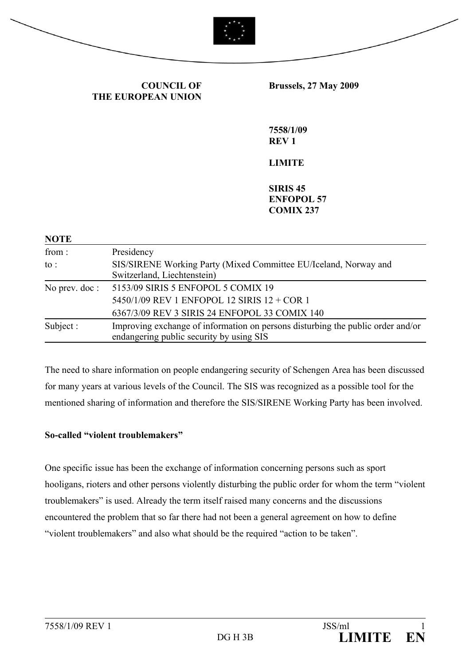

**COUNCIL OF THE EUROPEAN UNION** **Brussels, 27 May 2009** 

**7558/1/09 REV 1**

## **LIMITE**

**SIRIS 45 ENFOPOL 57 COMIX 237**

| <b>NOTE</b>     |                                                                                 |
|-----------------|---------------------------------------------------------------------------------|
| from:           | Presidency                                                                      |
| to :            | SIS/SIRENE Working Party (Mixed Committee EU/Iceland, Norway and                |
|                 | Switzerland, Liechtenstein)                                                     |
| No prev. $doc:$ | 5153/09 SIRIS 5 ENFOPOL 5 COMIX 19                                              |
|                 | 5450/1/09 REV 1 ENFOPOL 12 SIRIS 12 + COR 1                                     |
|                 | 6367/3/09 REV 3 SIRIS 24 ENFOPOL 33 COMIX 140                                   |
| Subject:        | Improving exchange of information on persons disturbing the public order and/or |
|                 | endangering public security by using SIS                                        |

The need to share information on people endangering security of Schengen Area has been discussed for many years at various levels of the Council. The SIS was recognized as a possible tool for the mentioned sharing of information and therefore the SIS/SIRENE Working Party has been involved.

## **So-called "violent troublemakers"**

One specific issue has been the exchange of information concerning persons such as sport hooligans, rioters and other persons violently disturbing the public order for whom the term "violent troublemakers" is used. Already the term itself raised many concerns and the discussions encountered the problem that so far there had not been a general agreement on how to define "violent troublemakers" and also what should be the required "action to be taken".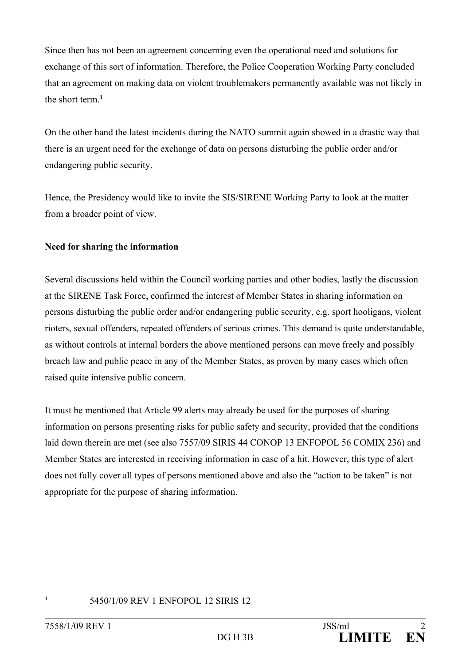Since then has not been an agreement concerning even the operational need and solutions for exchange of this sort of information. Therefore, the Police Cooperation Working Party concluded that an agreement on making data on violent troublemakers permanently available was not likely in the short term.**[1](#page-1-0)**

On the other hand the latest incidents during the NATO summit again showed in a drastic way that there is an urgent need for the exchange of data on persons disturbing the public order and/or endangering public security.

Hence, the Presidency would like to invite the SIS/SIRENE Working Party to look at the matter from a broader point of view.

# **Need for sharing the information**

Several discussions held within the Council working parties and other bodies, lastly the discussion at the SIRENE Task Force, confirmed the interest of Member States in sharing information on persons disturbing the public order and/or endangering public security, e.g. sport hooligans, violent rioters, sexual offenders, repeated offenders of serious crimes. This demand is quite understandable, as without controls at internal borders the above mentioned persons can move freely and possibly breach law and public peace in any of the Member States, as proven by many cases which often raised quite intensive public concern.

It must be mentioned that Article 99 alerts may already be used for the purposes of sharing information on persons presenting risks for public safety and security, provided that the conditions laid down therein are met (see also 7557/09 SIRIS 44 CONOP 13 ENFOPOL 56 COMIX 236) and Member States are interested in receiving information in case of a hit. However, this type of alert does not fully cover all types of persons mentioned above and also the "action to be taken" is not appropriate for the purpose of sharing information.

#### **1**

<span id="page-1-0"></span><sup>5450/1/09</sup> REV 1 ENFOPOL 12 SIRIS 12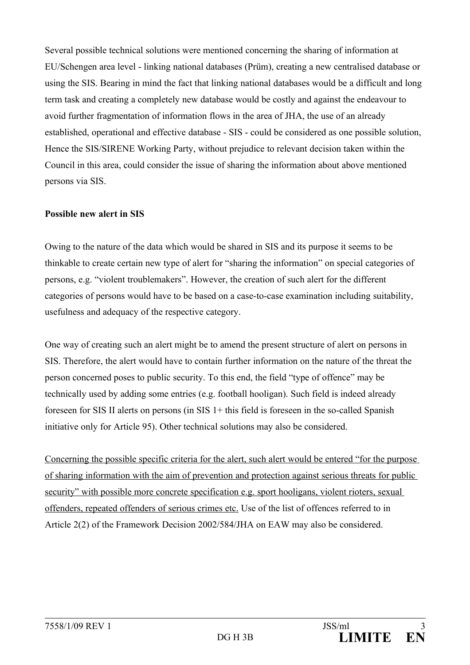Several possible technical solutions were mentioned concerning the sharing of information at EU/Schengen area level - linking national databases (Prüm), creating a new centralised database or using the SIS. Bearing in mind the fact that linking national databases would be a difficult and long term task and creating a completely new database would be costly and against the endeavour to avoid further fragmentation of information flows in the area of JHA, the use of an already established, operational and effective database - SIS - could be considered as one possible solution, Hence the SIS/SIRENE Working Party, without prejudice to relevant decision taken within the Council in this area, could consider the issue of sharing the information about above mentioned persons via SIS.

## **Possible new alert in SIS**

Owing to the nature of the data which would be shared in SIS and its purpose it seems to be thinkable to create certain new type of alert for "sharing the information" on special categories of persons, e.g. "violent troublemakers". However, the creation of such alert for the different categories of persons would have to be based on a case-to-case examination including suitability, usefulness and adequacy of the respective category.

One way of creating such an alert might be to amend the present structure of alert on persons in SIS. Therefore, the alert would have to contain further information on the nature of the threat the person concerned poses to public security. To this end, the field "type of offence" may be technically used by adding some entries (e.g. football hooligan). Such field is indeed already foreseen for SIS II alerts on persons (in SIS 1+ this field is foreseen in the so-called Spanish initiative only for Article 95). Other technical solutions may also be considered.

Concerning the possible specific criteria for the alert, such alert would be entered "for the purpose of sharing information with the aim of prevention and protection against serious threats for public security" with possible more concrete specification e.g. sport hooligans, violent rioters, sexual offenders, repeated offenders of serious crimes etc. Use of the list of offences referred to in Article 2(2) of the Framework Decision 2002/584/JHA on EAW may also be considered.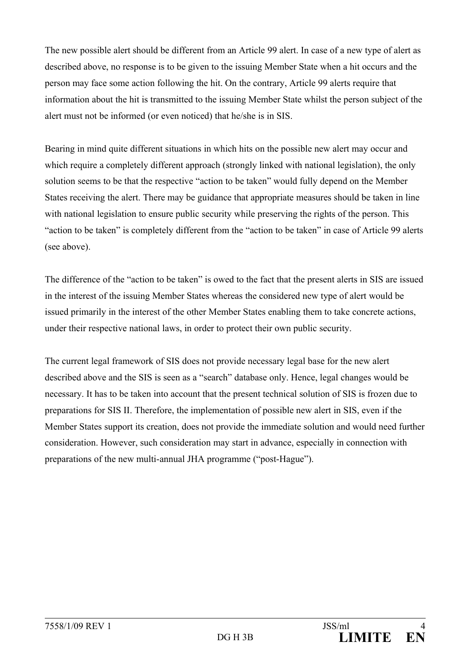The new possible alert should be different from an Article 99 alert. In case of a new type of alert as described above, no response is to be given to the issuing Member State when a hit occurs and the person may face some action following the hit. On the contrary, Article 99 alerts require that information about the hit is transmitted to the issuing Member State whilst the person subject of the alert must not be informed (or even noticed) that he/she is in SIS.

Bearing in mind quite different situations in which hits on the possible new alert may occur and which require a completely different approach (strongly linked with national legislation), the only solution seems to be that the respective "action to be taken" would fully depend on the Member States receiving the alert. There may be guidance that appropriate measures should be taken in line with national legislation to ensure public security while preserving the rights of the person. This "action to be taken" is completely different from the "action to be taken" in case of Article 99 alerts (see above).

The difference of the "action to be taken" is owed to the fact that the present alerts in SIS are issued in the interest of the issuing Member States whereas the considered new type of alert would be issued primarily in the interest of the other Member States enabling them to take concrete actions, under their respective national laws, in order to protect their own public security.

The current legal framework of SIS does not provide necessary legal base for the new alert described above and the SIS is seen as a "search" database only. Hence, legal changes would be necessary. It has to be taken into account that the present technical solution of SIS is frozen due to preparations for SIS II. Therefore, the implementation of possible new alert in SIS, even if the Member States support its creation, does not provide the immediate solution and would need further consideration. However, such consideration may start in advance, especially in connection with preparations of the new multi-annual JHA programme ("post-Hague").